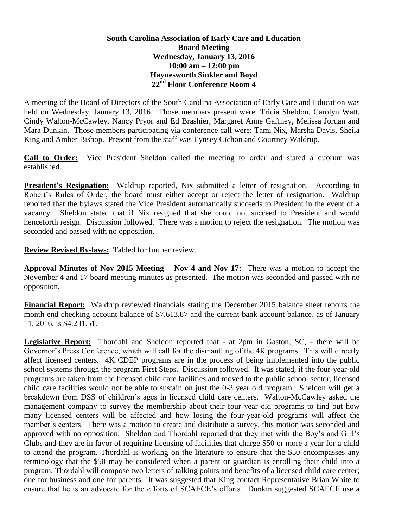## **South Carolina Association of Early Care and Education Board Meeting Wednesday, January 13, 2016 10:00 am – 12:00 pm Haynesworth Sinkler and Boyd 22nd Floor Conference Room 4**

A meeting of the Board of Directors of the South Carolina Association of Early Care and Education was held on Wednesday, January 13, 2016. Those members present were: Tricia Sheldon, Carolyn Watt, Cindy Walton-McCawley, Nancy Pryor and Ed Brashier, Margaret Anne Gaffney, Melissa Jordan and Mara Dunkin. Those members participating via conference call were: Tami Nix, Marsha Davis, Sheila King and Amber Bishop. Present from the staff was Lynsey Cichon and Courtney Waldrup.

**Call to Order:** Vice President Sheldon called the meeting to order and stated a quorum was established.

**President's Resignation:** Waldrup reported, Nix submitted a letter of resignation. According to Robert's Rules of Order, the board must either accept or reject the letter of resignation. Waldrup reported that the bylaws stated the Vice President automatically succeeds to President in the event of a vacancy. Sheldon stated that if Nix resigned that she could not succeed to President and would henceforth resign. Discussion followed. There was a motion to reject the resignation. The motion was seconded and passed with no opposition.

**Review Revised By-laws:** Tabled for further review.

**Approval Minutes of Nov 2015 Meeting – Nov 4 and Nov 17:** There was a motion to accept the November 4 and 17 board meeting minutes as presented. The motion was seconded and passed with no opposition.

**Financial Report:** Waldrup reviewed financials stating the December 2015 balance sheet reports the month end checking account balance of \$7,613.87 and the current bank account balance, as of January 11, 2016, is \$4.231.51.

**Legislative Report:** Thordahl and Sheldon reported that - at 2pm in Gaston, SC, - there will be Governor's Press Conference, which will call for the dismantling of the 4K programs. This will directly affect licensed centers. 4K CDEP programs are in the process of being implemented into the public school systems through the program First Steps. Discussion followed. It was stated, if the four-year-old programs are taken from the licensed child care facilities and moved to the public school sector, licensed child care facilities would not be able to sustain on just the 0-3 year old program. Sheldon will get a breakdown from DSS of children's ages in licensed child care centers. Walton-McCawley asked the management company to survey the membership about their four year old programs to find out how many licensed centers will be affected and how losing the four-year-old programs will affect the member's centers. There was a motion to create and distribute a survey, this motion was seconded and approved with no opposition. Sheldon and Thordahl reported that they met with the Boy's and Girl's Clubs and they are in favor of requiring licensing of facilities that charge \$50 or more a year for a child to attend the program. Thordahl is working on the literature to ensure that the \$50 encompasses any terminology that the \$50 may be considered when a parent or guardian is enrolling their child into a program. Thordahl will compose two letters of talking points and benefits of a licensed child care center; one for business and one for parents. It was suggested that King contact Representative Brian White to ensure that he is an advocate for the efforts of SCAECE's efforts. Dunkin suggested SCAECE use a